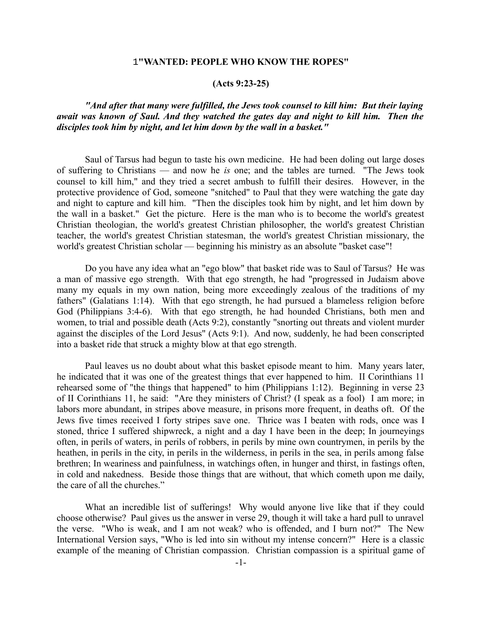## 1**"WANTED: PEOPLE WHO KNOW THE ROPES"**

## **(Acts 9:23-25)**

# *"And after that many were fulfilled, the Jews took counsel to kill him: But their laying await was known of Saul. And they watched the gates day and night to kill him. Then the disciples took him by night, and let him down by the wall in a basket."*

Saul of Tarsus had begun to taste his own medicine. He had been doling out large doses of suffering to Christians — and now he *is* one; and the tables are turned. "The Jews took counsel to kill him," and they tried a secret ambush to fulfill their desires. However, in the protective providence of God, someone "snitched" to Paul that they were watching the gate day and night to capture and kill him. "Then the disciples took him by night, and let him down by the wall in a basket." Get the picture. Here is the man who is to become the world's greatest Christian theologian, the world's greatest Christian philosopher, the world's greatest Christian teacher, the world's greatest Christian statesman, the world's greatest Christian missionary, the world's greatest Christian scholar — beginning his ministry as an absolute "basket case"!

Do you have any idea what an "ego blow" that basket ride was to Saul of Tarsus? He was a man of massive ego strength. With that ego strength, he had "progressed in Judaism above many my equals in my own nation, being more exceedingly zealous of the traditions of my fathers" (Galatians 1:14). With that ego strength, he had pursued a blameless religion before God (Philippians 3:4-6). With that ego strength, he had hounded Christians, both men and women, to trial and possible death (Acts 9:2), constantly "snorting out threats and violent murder against the disciples of the Lord Jesus" (Acts 9:1). And now, suddenly, he had been conscripted into a basket ride that struck a mighty blow at that ego strength.

Paul leaves us no doubt about what this basket episode meant to him. Many years later, he indicated that it was one of the greatest things that ever happened to him. II Corinthians 11 rehearsed some of "the things that happened" to him (Philippians 1:12). Beginning in verse 23 of II Corinthians 11, he said: "Are they ministers of Christ? (I speak as a fool) I am more; in labors more abundant, in stripes above measure, in prisons more frequent, in deaths oft. Of the Jews five times received I forty stripes save one. Thrice was I beaten with rods, once was I stoned, thrice I suffered shipwreck, a night and a day I have been in the deep; In journeyings often, in perils of waters, in perils of robbers, in perils by mine own countrymen, in perils by the heathen, in perils in the city, in perils in the wilderness, in perils in the sea, in perils among false brethren; In weariness and painfulness, in watchings often, in hunger and thirst, in fastings often, in cold and nakedness. Beside those things that are without, that which cometh upon me daily, the care of all the churches."

What an incredible list of sufferings! Why would anyone live like that if they could choose otherwise? Paul gives us the answer in verse 29, though it will take a hard pull to unravel the verse. "Who is weak, and I am not weak? who is offended, and I burn not?" The New International Version says, "Who is led into sin without my intense concern?" Here is a classic example of the meaning of Christian compassion. Christian compassion is a spiritual game of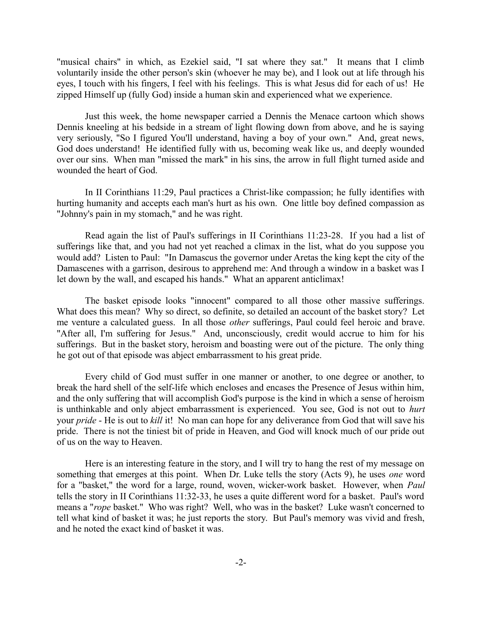"musical chairs" in which, as Ezekiel said, "I sat where they sat." It means that I climb voluntarily inside the other person's skin (whoever he may be), and I look out at life through his eyes, I touch with his fingers, I feel with his feelings. This is what Jesus did for each of us! He zipped Himself up (fully God) inside a human skin and experienced what we experience.

Just this week, the home newspaper carried a Dennis the Menace cartoon which shows Dennis kneeling at his bedside in a stream of light flowing down from above, and he is saying very seriously, "So I figured You'll understand, having a boy of your own." And, great news, God does understand! He identified fully with us, becoming weak like us, and deeply wounded over our sins. When man "missed the mark" in his sins, the arrow in full flight turned aside and wounded the heart of God.

In II Corinthians 11:29, Paul practices a Christ-like compassion; he fully identifies with hurting humanity and accepts each man's hurt as his own. One little boy defined compassion as "Johnny's pain in my stomach," and he was right.

Read again the list of Paul's sufferings in II Corinthians 11:23-28. If you had a list of sufferings like that, and you had not yet reached a climax in the list, what do you suppose you would add? Listen to Paul: "In Damascus the governor under Aretas the king kept the city of the Damascenes with a garrison, desirous to apprehend me: And through a window in a basket was I let down by the wall, and escaped his hands." What an apparent anticlimax!

The basket episode looks "innocent" compared to all those other massive sufferings. What does this mean? Why so direct, so definite, so detailed an account of the basket story? Let me venture a calculated guess. In all those *other* sufferings, Paul could feel heroic and brave. "After all, I'm suffering for Jesus." And, unconsciously, credit would accrue to him for his sufferings. But in the basket story, heroism and boasting were out of the picture. The only thing he got out of that episode was abject embarrassment to his great pride.

Every child of God must suffer in one manner or another, to one degree or another, to break the hard shell of the self-life which encloses and encases the Presence of Jesus within him, and the only suffering that will accomplish God's purpose is the kind in which a sense of heroism is unthinkable and only abject embarrassment is experienced. You see, God is not out to *hurt* your *pride* - He is out to *kill* it! No man can hope for any deliverance from God that will save his pride. There is not the tiniest bit of pride in Heaven, and God will knock much of our pride out of us on the way to Heaven.

Here is an interesting feature in the story, and I will try to hang the rest of my message on something that emerges at this point. When Dr. Luke tells the story (Acts 9), he uses *one* word for a "basket," the word for a large, round, woven, wicker-work basket. However, when *Paul* tells the story in II Corinthians 11:32-33, he uses a quite different word for a basket. Paul's word means a "*rope* basket." Who was right? Well, who was in the basket? Luke wasn't concerned to tell what kind of basket it was; he just reports the story. But Paul's memory was vivid and fresh, and he noted the exact kind of basket it was.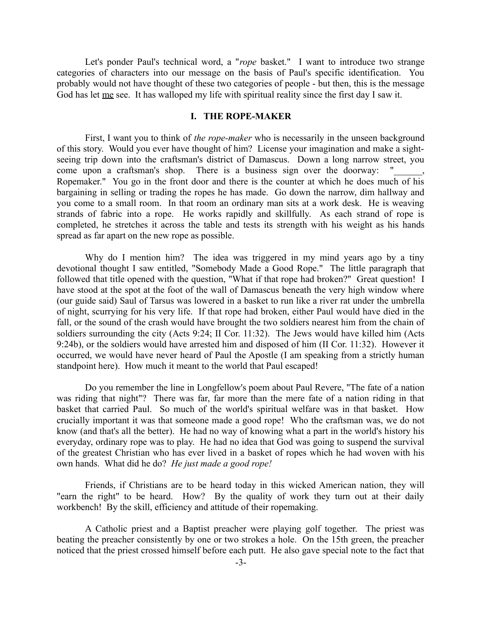Let's ponder Paul's technical word, a "*rope* basket." I want to introduce two strange categories of characters into our message on the basis of Paul's specific identification. You probably would not have thought of these two categories of people - but then, this is the message God has let <u>me</u> see. It has walloped my life with spiritual reality since the first day I saw it.

# **I. THE ROPE-MAKER**

First, I want you to think of *the rope-maker* who is necessarily in the unseen background of this story. Would you ever have thought of him? License your imagination and make a sightseeing trip down into the craftsman's district of Damascus. Down a long narrow street, you come upon a craftsman's shop. There is a business sign over the doorway: Ropemaker." You go in the front door and there is the counter at which he does much of his bargaining in selling or trading the ropes he has made. Go down the narrow, dim hallway and you come to a small room. In that room an ordinary man sits at a work desk. He is weaving strands of fabric into a rope. He works rapidly and skillfully. As each strand of rope is completed, he stretches it across the table and tests its strength with his weight as his hands spread as far apart on the new rope as possible.

Why do I mention him? The idea was triggered in my mind years ago by a tiny devotional thought I saw entitled, "Somebody Made a Good Rope." The little paragraph that followed that title opened with the question, "What if that rope had broken?" Great question! I have stood at the spot at the foot of the wall of Damascus beneath the very high window where (our guide said) Saul of Tarsus was lowered in a basket to run like a river rat under the umbrella of night, scurrying for his very life. If that rope had broken, either Paul would have died in the fall, or the sound of the crash would have brought the two soldiers nearest him from the chain of soldiers surrounding the city (Acts 9:24; II Cor. 11:32). The Jews would have killed him (Acts 9:24b), or the soldiers would have arrested him and disposed of him (II Cor. 11:32). However it occurred, we would have never heard of Paul the Apostle (I am speaking from a strictly human standpoint here). How much it meant to the world that Paul escaped!

Do you remember the line in Longfellow's poem about Paul Revere, "The fate of a nation was riding that night"? There was far, far more than the mere fate of a nation riding in that basket that carried Paul. So much of the world's spiritual welfare was in that basket. How crucially important it was that someone made a good rope! Who the craftsman was, we do not know (and that's all the better). He had no way of knowing what a part in the world's history his everyday, ordinary rope was to play. He had no idea that God was going to suspend the survival of the greatest Christian who has ever lived in a basket of ropes which he had woven with his own hands. What did he do? *He just made a good rope!*

Friends, if Christians are to be heard today in this wicked American nation, they will "earn the right" to be heard. How? By the quality of work they turn out at their daily workbench! By the skill, efficiency and attitude of their ropemaking.

A Catholic priest and a Baptist preacher were playing golf together. The priest was beating the preacher consistently by one or two strokes a hole. On the 15th green, the preacher noticed that the priest crossed himself before each putt. He also gave special note to the fact that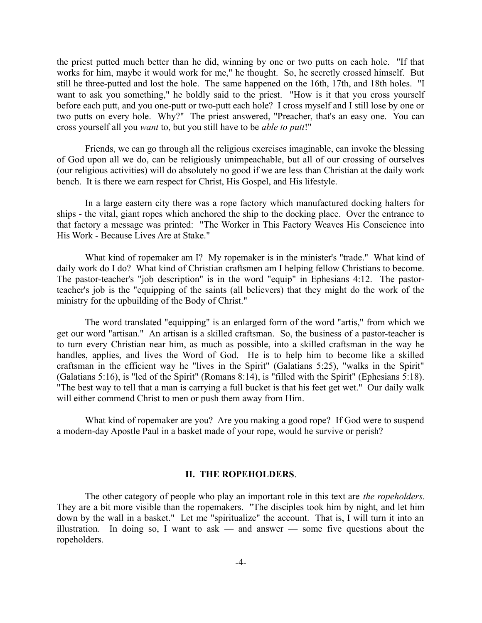the priest putted much better than he did, winning by one or two putts on each hole. "If that works for him, maybe it would work for me," he thought. So, he secretly crossed himself. But still he three-putted and lost the hole. The same happened on the 16th, 17th, and 18th holes. "I want to ask you something," he boldly said to the priest. "How is it that you cross yourself before each putt, and you one-putt or two-putt each hole? I cross myself and I still lose by one or two putts on every hole. Why?" The priest answered, "Preacher, that's an easy one. You can cross yourself all you *want* to, but you still have to be *able to putt*!"

Friends, we can go through all the religious exercises imaginable, can invoke the blessing of God upon all we do, can be religiously unimpeachable, but all of our crossing of ourselves (our religious activities) will do absolutely no good if we are less than Christian at the daily work bench. It is there we earn respect for Christ, His Gospel, and His lifestyle.

In a large eastern city there was a rope factory which manufactured docking halters for ships - the vital, giant ropes which anchored the ship to the docking place. Over the entrance to that factory a message was printed: "The Worker in This Factory Weaves His Conscience into His Work - Because Lives Are at Stake."

What kind of ropemaker am I? My ropemaker is in the minister's "trade." What kind of daily work do I do? What kind of Christian craftsmen am I helping fellow Christians to become. The pastor-teacher's "job description" is in the word "equip" in Ephesians 4:12. The pastorteacher's job is the "equipping of the saints (all believers) that they might do the work of the ministry for the upbuilding of the Body of Christ."

The word translated "equipping" is an enlarged form of the word "artis," from which we get our word "artisan." An artisan is a skilled craftsman. So, the business of a pastor-teacher is to turn every Christian near him, as much as possible, into a skilled craftsman in the way he handles, applies, and lives the Word of God. He is to help him to become like a skilled craftsman in the efficient way he "lives in the Spirit" (Galatians 5:25), "walks in the Spirit" (Galatians 5:16), is "led of the Spirit" (Romans 8:14), is "filled with the Spirit" (Ephesians 5:18). "The best way to tell that a man is carrying a full bucket is that his feet get wet." Our daily walk will either commend Christ to men or push them away from Him.

What kind of ropemaker are you? Are you making a good rope? If God were to suspend a modern-day Apostle Paul in a basket made of your rope, would he survive or perish?

#### **II. THE ROPEHOLDERS**.

The other category of people who play an important role in this text are *the ropeholders*. They are a bit more visible than the ropemakers. "The disciples took him by night, and let him down by the wall in a basket." Let me "spiritualize" the account. That is, I will turn it into an illustration. In doing so, I want to ask — and answer — some five questions about the ropeholders.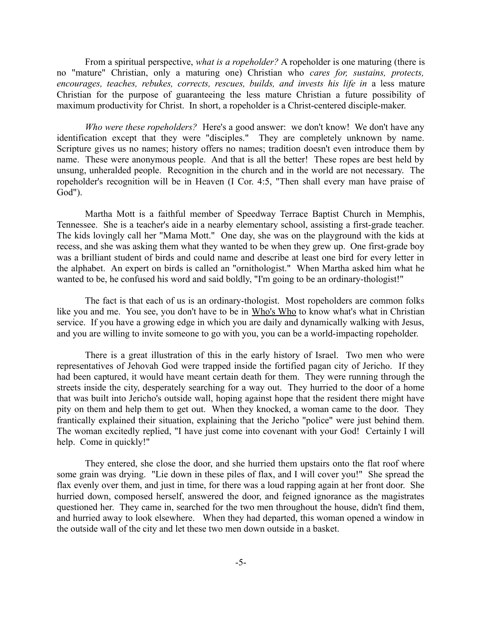From a spiritual perspective, *what is a ropeholder?* A ropeholder is one maturing (there is no "mature" Christian, only a maturing one) Christian who *cares for, sustains, protects,* encourages, teaches, rebukes, corrects, rescues, builds, and invests his life in a less mature Christian for the purpose of guaranteeing the less mature Christian a future possibility of maximum productivity for Christ. In short, a ropeholder is a Christ-centered disciple-maker.

*Who were these ropeholders?* Here's a good answer: we don't know! We don't have any identification except that they were "disciples." They are completely unknown by name. Scripture gives us no names; history offers no names; tradition doesn't even introduce them by name. These were anonymous people. And that is all the better! These ropes are best held by unsung, unheralded people. Recognition in the church and in the world are not necessary. The ropeholder's recognition will be in Heaven (I Cor. 4:5, "Then shall every man have praise of God").

Martha Mott is a faithful member of Speedway Terrace Baptist Church in Memphis, Tennessee. She is a teacher's aide in a nearby elementary school, assisting a first-grade teacher. The kids lovingly call her "Mama Mott." One day, she was on the playground with the kids at recess, and she was asking them what they wanted to be when they grew up. One first-grade boy was a brilliant student of birds and could name and describe at least one bird for every letter in the alphabet. An expert on birds is called an "ornithologist." When Martha asked him what he wanted to be, he confused his word and said boldly, "I'm going to be an ordinary-thologist!"

The fact is that each of us is an ordinary-thologist. Most ropeholders are common folks like you and me. You see, you don't have to be in Who's Who to know what's what in Christian service. If you have a growing edge in which you are daily and dynamically walking with Jesus, and you are willing to invite someone to go with you, you can be a world-impacting ropeholder.

There is a great illustration of this in the early history of Israel. Two men who were representatives of Jehovah God were trapped inside the fortified pagan city of Jericho. If they had been captured, it would have meant certain death for them. They were running through the streets inside the city, desperately searching for a way out. They hurried to the door of a home that was built into Jericho's outside wall, hoping against hope that the resident there might have pity on them and help them to get out. When they knocked, a woman came to the door. They frantically explained their situation, explaining that the Jericho "police" were just behind them. The woman excitedly replied, "I have just come into covenant with your God! Certainly I will help. Come in quickly!"

They entered, she close the door, and she hurried them upstairs onto the flat roof where some grain was drying. "Lie down in these piles of flax, and I will cover you!" She spread the flax evenly over them, and just in time, for there was a loud rapping again at her front door. She hurried down, composed herself, answered the door, and feigned ignorance as the magistrates questioned her. They came in, searched for the two men throughout the house, didn't find them, and hurried away to look elsewhere. When they had departed, this woman opened a window in the outside wall of the city and let these two men down outside in a basket.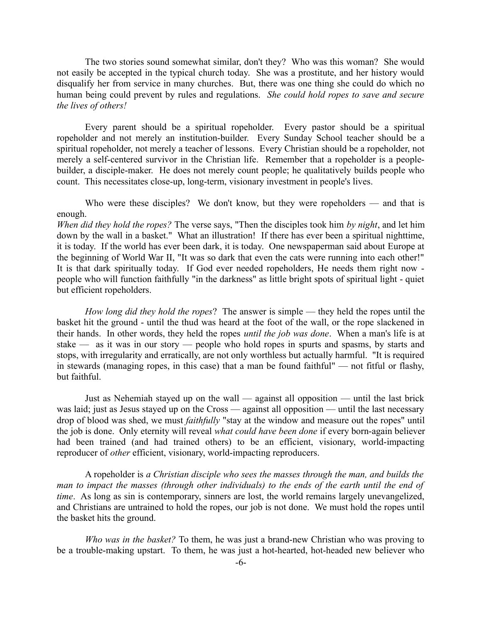The two stories sound somewhat similar, don't they? Who was this woman? She would not easily be accepted in the typical church today. She was a prostitute, and her history would disqualify her from service in many churches. But, there was one thing she could do which no human being could prevent by rules and regulations. *She could hold ropes to save and secure the lives of others!*

Every parent should be a spiritual ropeholder. Every pastor should be a spiritual ropeholder and not merely an institution-builder. Every Sunday School teacher should be a spiritual ropeholder, not merely a teacher of lessons. Every Christian should be a ropeholder, not merely a self-centered survivor in the Christian life. Remember that a ropeholder is a peoplebuilder, a disciple-maker. He does not merely count people; he qualitatively builds people who count. This necessitates close-up, long-term, visionary investment in people's lives.

Who were these disciples? We don't know, but they were ropeholders — and that is enough.

*When did they hold the ropes?* The verse says, "Then the disciples took him *by night*, and let him down by the wall in a basket." What an illustration! If there has ever been a spiritual nighttime, it is today. If the world has ever been dark, it is today. One newspaperman said about Europe at the beginning of World War II, "It was so dark that even the cats were running into each other!" It is that dark spiritually today. If God ever needed ropeholders, He needs them right now people who will function faithfully "in the darkness" as little bright spots of spiritual light - quiet but efficient ropeholders.

*How long did they hold the ropes*? The answer is simple — they held the ropes until the basket hit the ground - until the thud was heard at the foot of the wall, or the rope slackened in their hands. In other words, they held the ropes *until the job was done*. When a man's life is at stake — as it was in our story — people who hold ropes in spurts and spasms, by starts and stops, with irregularity and erratically, are not only worthless but actually harmful. "It is required in stewards (managing ropes, in this case) that a man be found faithful" — not fitful or flashy, but faithful.

Just as Nehemiah stayed up on the wall — against all opposition — until the last brick was laid; just as Jesus stayed up on the Cross — against all opposition — until the last necessary drop of blood was shed, we must *faithfully* "stay at the window and measure out the ropes" until the job is done. Only eternity will reveal *what could have been done* if every born-again believer had been trained (and had trained others) to be an efficient, visionary, world-impacting reproducer of *other* efficient, visionary, world-impacting reproducers.

A ropeholder is *a Christian disciple who sees the masses through the man, and builds the man to impact the masses (through other individuals) to the ends of the earth until the end of time*. As long as sin is contemporary, sinners are lost, the world remains largely unevangelized, and Christians are untrained to hold the ropes, our job is not done. We must hold the ropes until the basket hits the ground.

*Who was in the basket?* To them, he was just a brand-new Christian who was proving to be a trouble-making upstart. To them, he was just a hot-hearted, hot-headed new believer who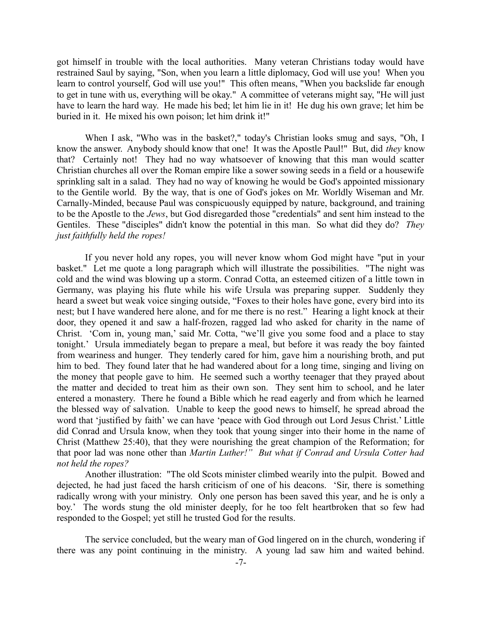got himself in trouble with the local authorities. Many veteran Christians today would have restrained Saul by saying, "Son, when you learn a little diplomacy, God will use you! When you learn to control yourself, God will use you!" This often means, "When you backslide far enough to get in tune with us, everything will be okay." A committee of veterans might say, "He will just have to learn the hard way. He made his bed; let him lie in it! He dug his own grave; let him be buried in it. He mixed his own poison; let him drink it!"

When I ask, "Who was in the basket?," today's Christian looks smug and says, "Oh, I know the answer. Anybody should know that one! It was the Apostle Paul!" But, did *they* know that? Certainly not! They had no way whatsoever of knowing that this man would scatter Christian churches all over the Roman empire like a sower sowing seeds in a field or a housewife sprinkling salt in a salad. They had no way of knowing he would be God's appointed missionary to the Gentile world. By the way, that is one of God's jokes on Mr. Worldly Wiseman and Mr. Carnally-Minded, because Paul was conspicuously equipped by nature, background, and training to be the Apostle to the *Jews*, but God disregarded those "credentials" and sent him instead to the Gentiles. These "disciples" didn't know the potential in this man. So what did they do? *They just faithfully held the ropes!*

If you never hold any ropes, you will never know whom God might have "put in your basket." Let me quote a long paragraph which will illustrate the possibilities. "The night was cold and the wind was blowing up a storm. Conrad Cotta, an esteemed citizen of a little town in Germany, was playing his flute while his wife Ursula was preparing supper. Suddenly they heard a sweet but weak voice singing outside, "Foxes to their holes have gone, every bird into its nest; but I have wandered here alone, and for me there is no rest." Hearing a light knock at their door, they opened it and saw a half-frozen, ragged lad who asked for charity in the name of Christ. 'Com in, young man,' said Mr. Cotta, "we'll give you some food and a place to stay tonight.' Ursula immediately began to prepare a meal, but before it was ready the boy fainted from weariness and hunger. They tenderly cared for him, gave him a nourishing broth, and put him to bed. They found later that he had wandered about for a long time, singing and living on the money that people gave to him. He seemed such a worthy teenager that they prayed about the matter and decided to treat him as their own son. They sent him to school, and he later entered a monastery. There he found a Bible which he read eagerly and from which he learned the blessed way of salvation. Unable to keep the good news to himself, he spread abroad the word that 'justified by faith' we can have 'peace with God through out Lord Jesus Christ.' Little did Conrad and Ursula know, when they took that young singer into their home in the name of Christ (Matthew 25:40), that they were nourishing the great champion of the Reformation; for that poor lad was none other than *Martin Luther!" But what if Conrad and Ursula Cotter had not held the ropes?*

Another illustration: "The old Scots minister climbed wearily into the pulpit. Bowed and dejected, he had just faced the harsh criticism of one of his deacons. 'Sir, there is something radically wrong with your ministry. Only one person has been saved this year, and he is only a boy.' The words stung the old minister deeply, for he too felt heartbroken that so few had responded to the Gospel; yet still he trusted God for the results.

The service concluded, but the weary man of God lingered on in the church, wondering if there was any point continuing in the ministry. A young lad saw him and waited behind.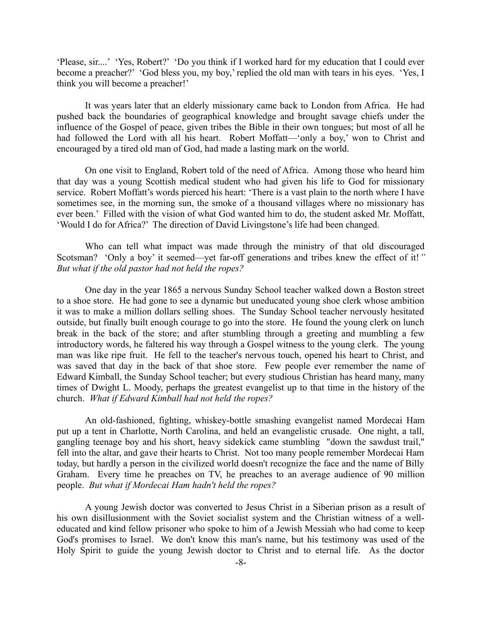'Please, sir....' 'Yes, Robert?' 'Do you think if I worked hard for my education that I could ever become a preacher?' 'God bless you, my boy,' replied the old man with tears in his eyes. 'Yes, I think you will become a preacher!'

It was years later that an elderly missionary came back to London from Africa. He had pushed back the boundaries of geographical knowledge and brought savage chiefs under the influence of the Gospel of peace, given tribes the Bible in their own tongues; but most of all he had followed the Lord with all his heart. Robert Moffatt—'only a boy,' won to Christ and encouraged by a tired old man of God, had made a lasting mark on the world.

On one visit to England, Robert told of the need of Africa. Among those who heard him that day was a young Scottish medical student who had given his life to God for missionary service. Robert Moffatt's words pierced his heart: 'There is a vast plain to the north where I have sometimes see, in the morning sun, the smoke of a thousand villages where no missionary has ever been.' Filled with the vision of what God wanted him to do, the student asked Mr. Moffatt, 'Would I do for Africa?' The direction of David Livingstone's life had been changed.

Who can tell what impact was made through the ministry of that old discouraged Scotsman? 'Only a boy' it seemed—yet far-off generations and tribes knew the effect of it!*" But what if the old pastor had not held the ropes?* 

One day in the year 1865 a nervous Sunday School teacher walked down a Boston street to a shoe store. He had gone to see a dynamic but uneducated young shoe clerk whose ambition it was to make a million dollars selling shoes. The Sunday School teacher nervously hesitated outside, but finally built enough courage to go into the store. He found the young clerk on lunch break in the back of the store; and after stumbling through a greeting and mumbling a few introductory words, he faltered his way through a Gospel witness to the young clerk. The young man was like ripe fruit. He fell to the teacher's nervous touch, opened his heart to Christ, and was saved that day in the back of that shoe store. Few people ever remember the name of Edward Kimball, the Sunday School teacher; but every studious Christian has heard many, many times of Dwight L. Moody, perhaps the greatest evangelist up to that time in the history of the church. *What if Edward Kimball had not held the ropes?*

An old-fashioned, fighting, whiskey-bottle smashing evangelist named Mordecai Ham put up a tent in Charlotte, North Carolina, and held an evangelistic crusade. One night, a tall, gangling teenage boy and his short, heavy sidekick came stumbling "down the sawdust trail," fell into the altar, and gave their hearts to Christ. Not too many people remember Mordecai Ham today, but hardly a person in the civilized world doesn't recognize the face and the name of Billy Graham. Every time he preaches on TV, he preaches to an average audience of 90 million people. *But what if Mordecai Ham hadn't held the ropes?*

A young Jewish doctor was converted to Jesus Christ in a Siberian prison as a result of his own disillusionment with the Soviet socialist system and the Christian witness of a welleducated and kind fellow prisoner who spoke to him of a Jewish Messiah who had come to keep God's promises to Israel. We don't know this man's name, but his testimony was used of the Holy Spirit to guide the young Jewish doctor to Christ and to eternal life. As the doctor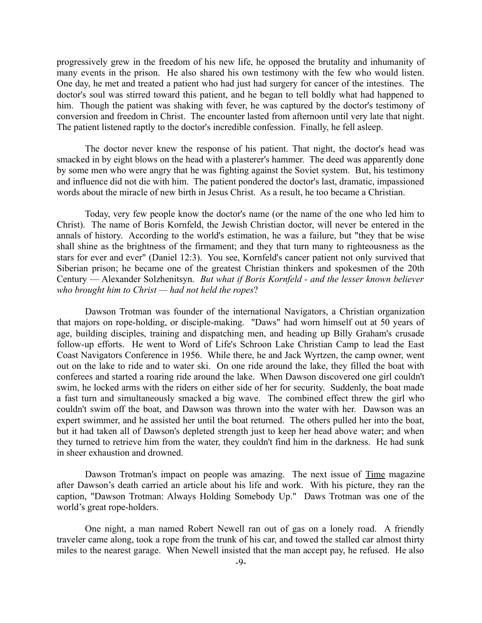progressively grew in the freedom of his new life, he opposed the brutality and inhumanity of many events in the prison. He also shared his own testimony with the few who would listen. One day, he met and treated a patient who had just had surgery for cancer of the intestines. The doctor's soul was stirred toward this patient, and he began to tell boldly what had happened to him. Though the patient was shaking with fever, he was captured by the doctor's testimony of conversion and freedom in Christ. The encounter lasted from afternoon until very late that night. The patient listened raptly to the doctor's incredible confession. Finally, he fell asleep.

The doctor never knew the response of his patient. That night, the doctor's head was smacked in by eight blows on the head with a plasterer's hammer. The deed was apparently done by some men who were angry that he was fighting against the Soviet system. But, his testimony and influence did not die with him. The patient pondered the doctor's last, dramatic, impassioned words about the miracle of new birth in Jesus Christ. As a result, he too became a Christian.

Today, very few people know the doctor's name (or the name of the one who led him to Christ). The name of Boris Kornfeld, the Jewish Christian doctor, will never be entered in the annals of history. According to the world's estimation, he was a failure, but "they that be wise shall shine as the brightness of the firmament; and they that turn many to righteousness as the stars for ever and ever" (Daniel 12:3). You see, Kornfeld's cancer patient not only survived that Siberian prison; he became one of the greatest Christian thinkers and spokesmen of the 20th Century — Alexander Solzhenitsyn. *But what if Boris Kornfeld - and the lesser known believer who brought him to Christ — had not held the ropes*?

Dawson Trotman was founder of the international Navigators, a Christian organization that majors on rope-holding, or disciple-making. "Daws" had worn himself out at 50 years of age, building disciples, training and dispatching men, and heading up Billy Graham's crusade follow-up efforts. He went to Word of Life's Schroon Lake Christian Camp to lead the East Coast Navigators Conference in 1956. While there, he and Jack Wyrtzen, the camp owner, went out on the lake to ride and to water ski. On one ride around the lake, they filled the boat with conferees and started a roaring ride around the lake. When Dawson discovered one girl couldn't swim, he locked arms with the riders on either side of her for security. Suddenly, the boat made a fast turn and simultaneously smacked a big wave. The combined effect threw the girl who couldn't swim off the boat, and Dawson was thrown into the water with her. Dawson was an expert swimmer, and he assisted her until the boat returned. The others pulled her into the boat, but it had taken all of Dawson's depleted strength just to keep her head above water; and when they turned to retrieve him from the water, they couldn't find him in the darkness. He had sunk in sheer exhaustion and drowned.

Dawson Trotman's impact on people was amazing. The next issue of Time magazine after Dawson's death carried an article about his life and work. With his picture, they ran the caption, "Dawson Trotman: Always Holding Somebody Up." Daws Trotman was one of the world's great rope-holders.

One night, a man named Robert Newell ran out of gas on a lonely road. A friendly traveler came along, took a rope from the trunk of his car, and towed the stalled car almost thirty miles to the nearest garage. When Newell insisted that the man accept pay, he refused. He also